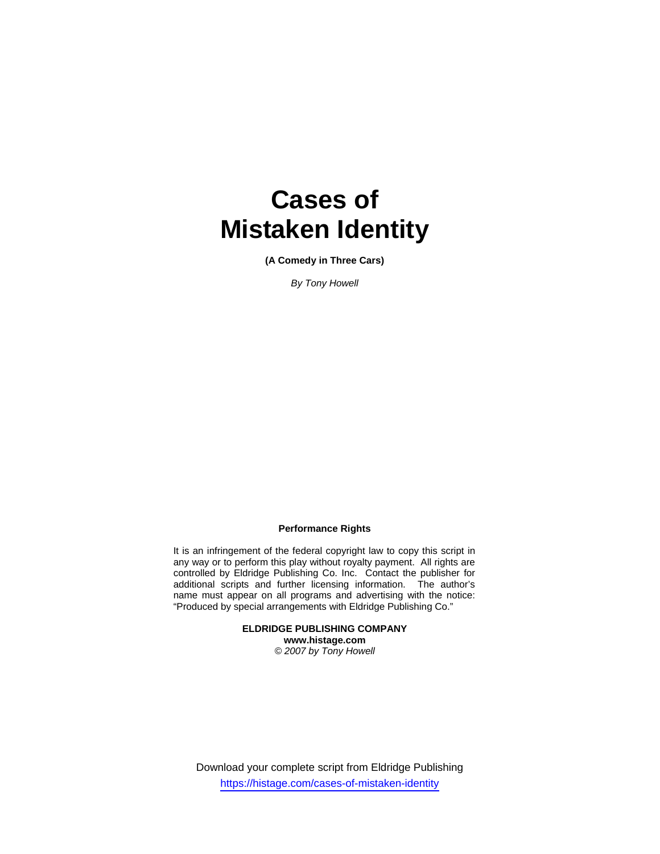# **Cases of Mistaken Identity**

**(A Comedy in Three Cars)**

*By Tony Howell* 

#### **Performance Rights**

It is an infringement of the federal copyright law to copy this script in any way or to perform this play without royalty payment. All rights are controlled by Eldridge Publishing Co. Inc. Contact the publisher for additional scripts and further licensing information. The author's name must appear on all programs and advertising with the notice: "Produced by special arrangements with Eldridge Publishing Co."

> **ELDRIDGE PUBLISHING COMPANY www.histage.com**  *© 2007 by Tony Howell*

Download your complete script from Eldridge Publishing https://histage.com/cases-of-mistaken-identity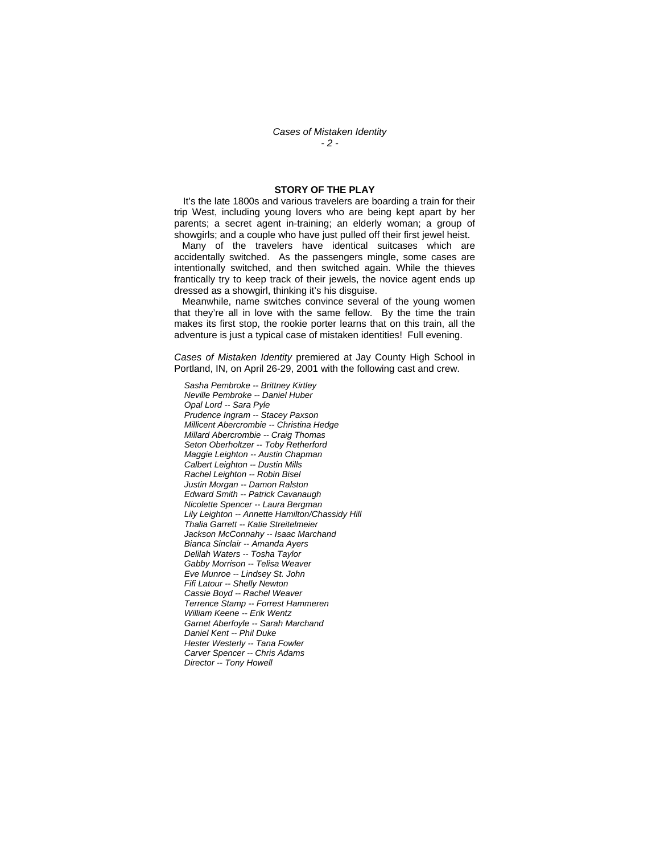#### **STORY OF THE PLAY**

 It's the late 1800s and various travelers are boarding a train for their trip West, including young lovers who are being kept apart by her parents; a secret agent in-training; an elderly woman; a group of showgirls; and a couple who have just pulled off their first jewel heist.

 Many of the travelers have identical suitcases which are accidentally switched. As the passengers mingle, some cases are intentionally switched, and then switched again. While the thieves frantically try to keep track of their jewels, the novice agent ends up dressed as a showgirl, thinking it's his disguise.

 Meanwhile, name switches convince several of the young women that they're all in love with the same fellow. By the time the train makes its first stop, the rookie porter learns that on this train, all the adventure is just a typical case of mistaken identities! Full evening.

*Cases of Mistaken Identity* premiered at Jay County High School in Portland, IN, on April 26-29, 2001 with the following cast and crew.

*Sasha Pembroke -- Brittney Kirtley Neville Pembroke -- Daniel Huber Opal Lord -- Sara Pyle Prudence Ingram -- Stacey Paxson Millicent Abercrombie -- Christina Hedge Millard Abercrombie -- Craig Thomas Seton Oberholtzer -- Toby Retherford Maggie Leighton -- Austin Chapman Calbert Leighton -- Dustin Mills Rachel Leighton -- Robin Bisel Justin Morgan -- Damon Ralston Edward Smith -- Patrick Cavanaugh Nicolette Spencer -- Laura Bergman Lily Leighton -- Annette Hamilton/Chassidy Hill Thalia Garrett -- Katie Streitelmeier Jackson McConnahy -- Isaac Marchand Bianca Sinclair -- Amanda Ayers Delilah Waters -- Tosha Taylor Gabby Morrison -- Telisa Weaver Eve Munroe -- Lindsey St. John Fifi Latour -- Shelly Newton Cassie Boyd -- Rachel Weaver Terrence Stamp -- Forrest Hammeren William Keene -- Erik Wentz Garnet Aberfoyle -- Sarah Marchand Daniel Kent -- Phil Duke Hester Westerly -- Tana Fowler Carver Spencer -- Chris Adams Director -- Tony Howell*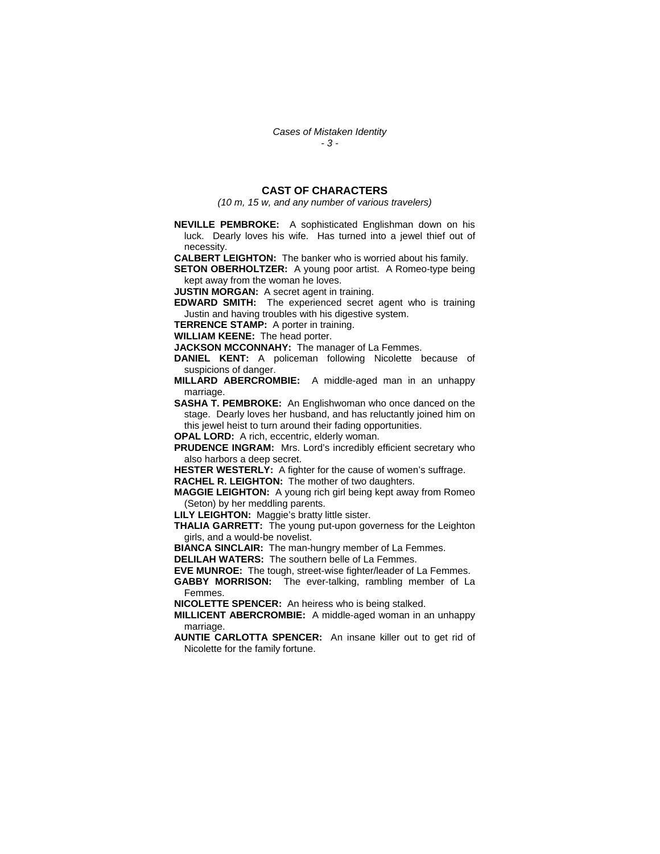### **CAST OF CHARACTERS**

*(10 m, 15 w, and any number of various travelers)* 

**NEVILLE PEMBROKE:** A sophisticated Englishman down on his luck. Dearly loves his wife. Has turned into a jewel thief out of necessity.

**CALBERT LEIGHTON:** The banker who is worried about his family.

**SETON OBERHOLTZER:** A young poor artist. A Romeo-type being kept away from the woman he loves.

**JUSTIN MORGAN:** A secret agent in training.

**EDWARD SMITH:** The experienced secret agent who is training Justin and having troubles with his digestive system.

**TERRENCE STAMP:** A porter in training.

**WILLIAM KEENE:** The head porter.

**JACKSON MCCONNAHY:** The manager of La Femmes.

**DANIEL KENT:** A policeman following Nicolette because of suspicions of danger.

**MILLARD ABERCROMBIE:** A middle-aged man in an unhappy marriage.

**SASHA T. PEMBROKE:** An Englishwoman who once danced on the stage. Dearly loves her husband, and has reluctantly joined him on this jewel heist to turn around their fading opportunities.

**OPAL LORD:** A rich, eccentric, elderly woman.

**PRUDENCE INGRAM:** Mrs. Lord's incredibly efficient secretary who also harbors a deep secret.

**HESTER WESTERLY:** A fighter for the cause of women's suffrage.

**RACHEL R. LEIGHTON:** The mother of two daughters.

**MAGGIE LEIGHTON:** A young rich girl being kept away from Romeo (Seton) by her meddling parents.

**LILY LEIGHTON:** Maggie's bratty little sister.

**THALIA GARRETT:** The young put-upon governess for the Leighton girls, and a would-be novelist.

**BIANCA SINCLAIR:** The man-hungry member of La Femmes.

**DELILAH WATERS:** The southern belle of La Femmes.

**EVE MUNROE:** The tough, street-wise fighter/leader of La Femmes.

**GABBY MORRISON:** The ever-talking, rambling member of La Femmes.

**NICOLETTE SPENCER:** An heiress who is being stalked.

**MILLICENT ABERCROMBIE:** A middle-aged woman in an unhappy marriage.

**AUNTIE CARLOTTA SPENCER:** An insane killer out to get rid of Nicolette for the family fortune.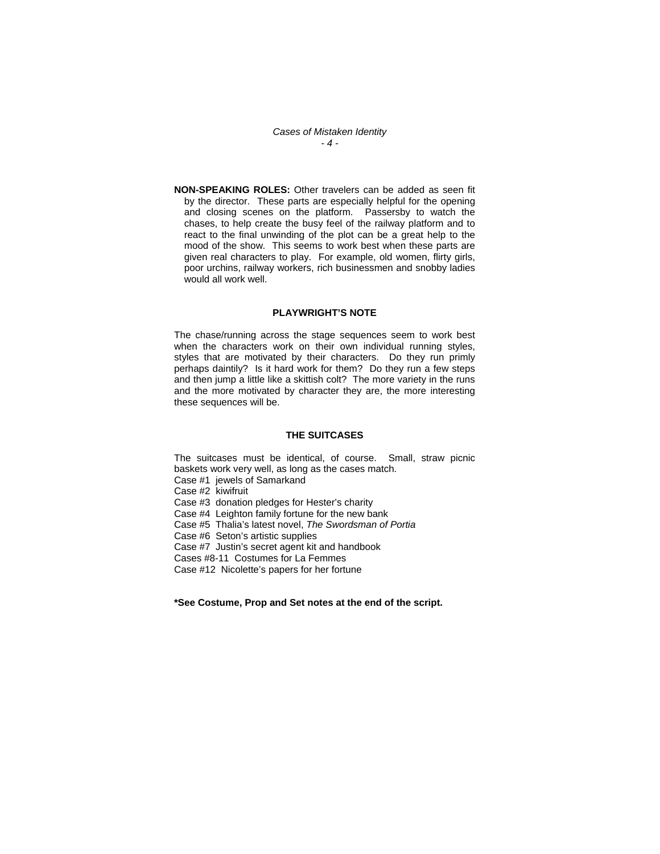*Cases of Mistaken Identity - 4 -* 

**NON-SPEAKING ROLES:** Other travelers can be added as seen fit by the director. These parts are especially helpful for the opening and closing scenes on the platform. Passersby to watch the chases, to help create the busy feel of the railway platform and to react to the final unwinding of the plot can be a great help to the mood of the show. This seems to work best when these parts are given real characters to play. For example, old women, flirty girls, poor urchins, railway workers, rich businessmen and snobby ladies would all work well.

#### **PLAYWRIGHT'S NOTE**

The chase/running across the stage sequences seem to work best when the characters work on their own individual running styles, styles that are motivated by their characters. Do they run primly perhaps daintily? Is it hard work for them? Do they run a few steps and then jump a little like a skittish colt? The more variety in the runs and the more motivated by character they are, the more interesting these sequences will be.

#### **THE SUITCASES**

The suitcases must be identical, of course. Small, straw picnic baskets work very well, as long as the cases match. Case #1 jewels of Samarkand

Case #2 kiwifruit Case #3 donation pledges for Hester's charity Case #4 Leighton family fortune for the new bank Case #5 Thalia's latest novel, *The Swordsman of Portia*  Case #6 Seton's artistic supplies Case #7 Justin's secret agent kit and handbook Cases #8-11 Costumes for La Femmes Case #12 Nicolette's papers for her fortune

**\*See Costume, Prop and Set notes at the end of the script.**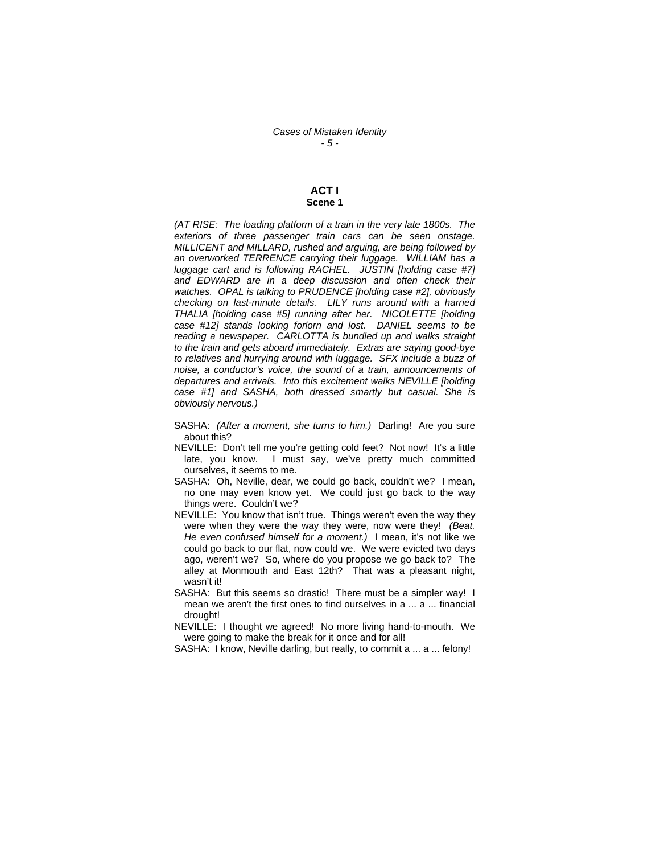#### **ACT I Scene 1**

*(AT RISE: The loading platform of a train in the very late 1800s. The exteriors of three passenger train cars can be seen onstage. MILLICENT and MILLARD, rushed and arguing, are being followed by an overworked TERRENCE carrying their luggage. WILLIAM has a luggage cart and is following RACHEL. JUSTIN [holding case #7] and EDWARD are in a deep discussion and often check their watches. OPAL is talking to PRUDENCE [holding case #2], obviously checking on last-minute details. LILY runs around with a harried THALIA [holding case #5] running after her. NICOLETTE [holding case #12] stands looking forlorn and lost. DANIEL seems to be reading a newspaper. CARLOTTA is bundled up and walks straight to the train and gets aboard immediately. Extras are saying good-bye to relatives and hurrying around with luggage. SFX include a buzz of noise, a conductor's voice, the sound of a train, announcements of departures and arrivals. Into this excitement walks NEVILLE [holding case #1] and SASHA, both dressed smartly but casual. She is obviously nervous.)* 

- SASHA: *(After a moment, she turns to him.)* Darling! Are you sure about this?
- NEVILLE: Don't tell me you're getting cold feet? Not now! It's a little late, you know. I must say, we've pretty much committed ourselves, it seems to me.
- SASHA: Oh, Neville, dear, we could go back, couldn't we? I mean, no one may even know yet. We could just go back to the way things were. Couldn't we?
- NEVILLE: You know that isn't true. Things weren't even the way they were when they were the way they were, now were they! *(Beat. He even confused himself for a moment.)* I mean, it's not like we could go back to our flat, now could we. We were evicted two days ago, weren't we? So, where do you propose we go back to? The alley at Monmouth and East 12th? That was a pleasant night, wasn't it!
- SASHA: But this seems so drastic! There must be a simpler way! I mean we aren't the first ones to find ourselves in a ... a ... financial drought!

NEVILLE: I thought we agreed! No more living hand-to-mouth. We were going to make the break for it once and for all!

SASHA: I know, Neville darling, but really, to commit a ... a ... felony!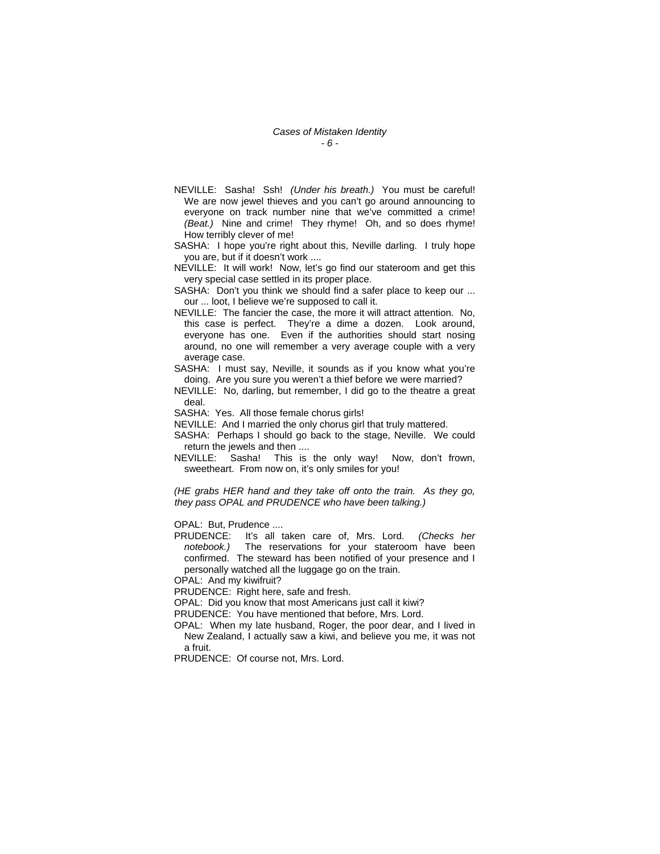- NEVILLE: Sasha! Ssh! *(Under his breath.)* You must be careful! We are now jewel thieves and you can't go around announcing to everyone on track number nine that we've committed a crime! *(Beat.)* Nine and crime! They rhyme! Oh, and so does rhyme! How terribly clever of me!
- SASHA: I hope you're right about this, Neville darling. I truly hope you are, but if it doesn't work ....
- NEVILLE: It will work! Now, let's go find our stateroom and get this very special case settled in its proper place.
- SASHA: Don't you think we should find a safer place to keep our ... our ... loot, I believe we're supposed to call it.
- NEVILLE: The fancier the case, the more it will attract attention. No, this case is perfect. They're a dime a dozen. Look around, everyone has one. Even if the authorities should start nosing around, no one will remember a very average couple with a very average case.
- SASHA: I must say, Neville, it sounds as if you know what you're doing. Are you sure you weren't a thief before we were married?
- NEVILLE: No, darling, but remember, I did go to the theatre a great deal.
- SASHA: Yes. All those female chorus girls!
- NEVILLE: And I married the only chorus girl that truly mattered.
- SASHA: Perhaps I should go back to the stage, Neville. We could return the jewels and then ....
- NEVILLE: Sasha! This is the only way! Now, don't frown, sweetheart. From now on, it's only smiles for you!

*(HE grabs HER hand and they take off onto the train. As they go, they pass OPAL and PRUDENCE who have been talking.)* 

OPAL: But, Prudence ....

PRUDENCE: It's all taken care of, Mrs. Lord. *(Checks her notebook.)* The reservations for your stateroom have been confirmed. The steward has been notified of your presence and I personally watched all the luggage go on the train.

OPAL: And my kiwifruit?

PRUDENCE: Right here, safe and fresh.

OPAL: Did you know that most Americans just call it kiwi?

PRUDENCE: You have mentioned that before, Mrs. Lord.

OPAL: When my late husband, Roger, the poor dear, and I lived in New Zealand, I actually saw a kiwi, and believe you me, it was not a fruit.

PRUDENCE: Of course not, Mrs. Lord.